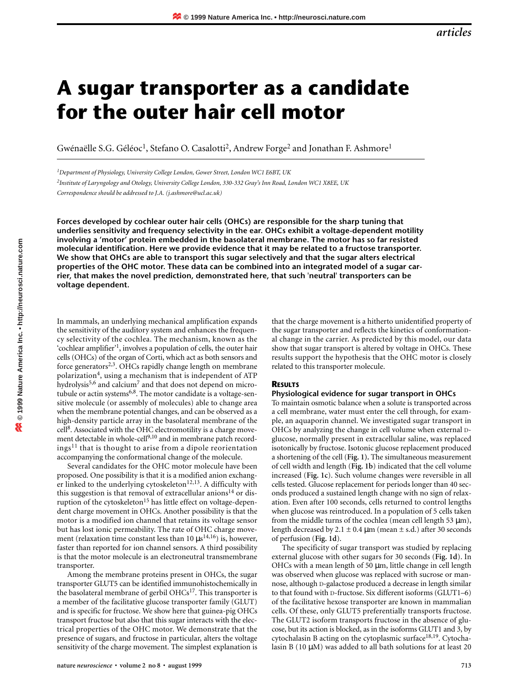# **A sugar transporter as a candidate for the outer hair cell motor**

Gwénaëlle S.G. Géléoc<sup>1</sup>, Stefano O. Casalotti<sup>2</sup>, Andrew Forge<sup>2</sup> and Jonathan F. Ashmore<sup>1</sup>

*1Department of Physiology, University College London, Gower Street, London WC1 E6BT, UK*

*2Institute of Laryngology and Otology, University College London, 330-332 Gray's Inn Road, London WC1 X8EE, UK Correspondence should be addressed to J.A. (j.ashmore@ucl.ac.uk)*

**Forces developed by cochlear outer hair cells (OHCs) are responsible for the sharp tuning that underlies sensitivity and frequency selectivity in the ear. OHCs exhibit a voltage-dependent motility involving a 'motor' protein embedded in the basolateral membrane. The motor has so far resisted molecular identification. Here we provide evidence that it may be related to a fructose transporter. We show that OHCs are able to transport this sugar selectively and that the sugar alters electrical properties of the OHC motor. These data can be combined into an integrated model of a sugar carrier, that makes the novel prediction, demonstrated here, that such 'neutral' transporters can be voltage dependent.**

In mammals, an underlying mechanical amplification expands the sensitivity of the auditory system and enhances the frequency selectivity of the cochlea. The mechanism, known as the 'cochlear amplifier'1, involves a population of cells, the outer hair cells (OHCs) of the organ of Corti, which act as both sensors and force generators<sup>2,3</sup>. OHCs rapidly change length on membrane polarization4, using a mechanism that is independent of ATP hydrolysis<sup>5,6</sup> and calcium<sup>7</sup> and that does not depend on microtubule or actin systems<sup>6,8</sup>. The motor candidate is a voltage-sensitive molecule (or assembly of molecules) able to change area when the membrane potential changes, and can be observed as a high-density particle array in the basolateral membrane of the cell8. Associated with the OHC electromotility is a charge movement detectable in whole-cell<sup>9,10</sup> and in membrane patch record $ings<sup>11</sup>$  that is thought to arise from a dipole reorientation accompanying the conformational change of the molecule.

Several candidates for the OHC motor molecule have been proposed. One possibility is that it is a modified anion exchanger linked to the underlying cytoskeleton<sup>12,13</sup>. A difficulty with this suggestion is that removal of extracellular anions<sup>14</sup> or disruption of the cytoskeleton<sup>15</sup> has little effect on voltage-dependent charge movement in OHCs. Another possibility is that the motor is a modified ion channel that retains its voltage sensor but has lost ionic permeability. The rate of OHC charge movement (relaxation time constant less than 10  $\mu s^{14,16}$ ) is, however, faster than reported for ion channel sensors. A third possibility is that the motor molecule is an electroneutral transmembrane transporter.

Among the membrane proteins present in OHCs, the sugar transporter GLUT5 can be identified immunohistochemically in the basolateral membrane of gerbil  $OHCs<sup>17</sup>$ . This transporter is a member of the facilitative glucose transporter family (GLUT) and is specific for fructose. We show here that guinea-pig OHCs transport fructose but also that this sugar interacts with the electrical properties of the OHC motor. We demonstrate that the presence of sugars, and fructose in particular, alters the voltage sensitivity of the charge movement. The simplest explanation is

that the charge movement is a hitherto unidentified property of the sugar transporter and reflects the kinetics of conformational change in the carrier. As predicted by this model, our data show that sugar transport is altered by voltage in OHCs. These results support the hypothesis that the OHC motor is closely related to this transporter molecule.

#### **RESULTS**

#### **Physiological evidence for sugar transport in OHCs**

To maintain osmotic balance when a solute is transported across a cell membrane, water must enter the cell through, for example, an aquaporin channel. We investigated sugar transport in OHCs by analyzing the change in cell volume when external Dglucose, normally present in extracellular saline, was replaced isotonically by fructose. Isotonic glucose replacement produced a shortening of the cell (**Fig. 1).** The simultaneous measurement of cell width and length (**Fig. 1b**) indicated that the cell volume increased (**Fig. 1c**). Such volume changes were reversible in all cells tested. Glucose replacement for periods longer than 40 seconds produced a sustained length change with no sign of relaxation. Even after 100 seconds, cells returned to control lengths when glucose was reintroduced. In a population of 5 cells taken from the middle turns of the cochlea (mean cell length 53 µm), length decreased by 2.1  $\pm$  0.4  $\mu$ m (mean  $\pm$  s.d.) after 30 seconds of perfusion (**Fig. 1d**).

The specificity of sugar transport was studied by replacing external glucose with other sugars for 30 seconds (**Fig. 1d**). In OHCs with a mean length of 50 µm, little change in cell length was observed when glucose was replaced with sucrose or mannose, although D-galactose produced a decrease in length similar to that found with D-fructose. Six different isoforms (GLUT1–6) of the facilitative hexose transporter are known in mammalian cells. Of these, only GLUT5 preferentially transports fructose. The GLUT2 isoform transports fructose in the absence of glucose, but its action is blocked, as in the isoforms GLUT1 and 3, by cytochalasin B acting on the cytoplasmic surface<sup>18,19</sup>. Cytochalasin B  $(10 \mu M)$  was added to all bath solutions for at least 20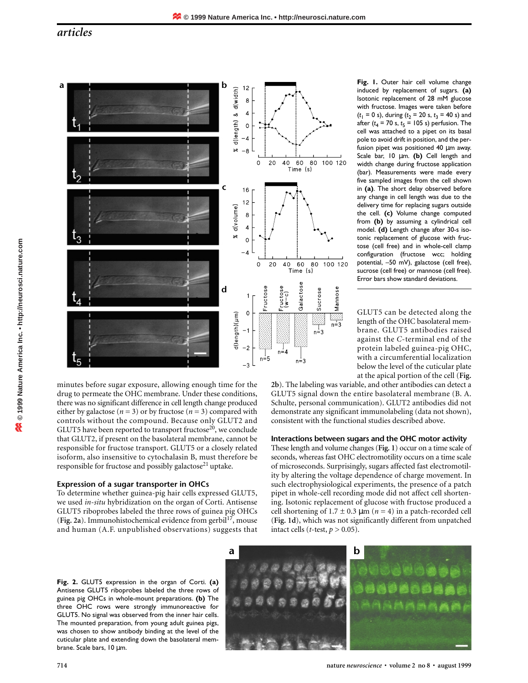# *articles*



minutes before sugar exposure, allowing enough time for the drug to permeate the OHC membrane. Under these conditions, there was no significant difference in cell length change produced either by galactose ( $n = 3$ ) or by fructose ( $n = 3$ ) compared with controls without the compound. Because only GLUT2 and GLUT5 have been reported to transport fructose $20$ , we conclude that GLUT2, if present on the basolateral membrane, cannot be responsible for fructose transport. GLUT5 or a closely related isoform, also insensitive to cytochalasin B, must therefore be responsible for fructose and possibly galactose<sup>21</sup> uptake.

# **Expression of a sugar transporter in OHCs**

To determine whether guinea-pig hair cells expressed GLUT5, we used *in-situ* hybridization on the organ of Corti. Antisense GLUT5 riboprobes labeled the three rows of guinea pig OHCs (**Fig. 2a**). Immunohistochemical evidence from gerbil<sup>17</sup>, mouse and human (A.F. unpublished observations) suggests that **Fig. 1.** Outer hair cell volume change induced by replacement of sugars. **(a)** Isotonic replacement of 28 mM glucose with fructose. Images were taken before  $(t_1 = 0 \text{ s})$ , during  $(t_2 = 20 \text{ s}, t_3 = 40 \text{ s})$  and after  $(t_4 = 70 \text{ s}, t_5 = 105 \text{ s})$  perfusion. The cell was attached to a pipet on its basal pole to avoid drift in position, and the perfusion pipet was positioned 40 µm away. Scale bar, 10 µm. **(b)** Cell length and width change during fructose application (bar). Measurements were made every five sampled images from the cell shown in **(a)**. The short delay observed before any change in cell length was due to the delivery time for replacing sugars outside the cell. **(c)** Volume change computed from **(b)** by assuming a cylindrical cell model. **(d)** Length change after 30-s isotonic replacement of glucose with fructose (cell free) and in whole-cell clamp configuration (fructose wcc; holding potential, –50 mV), galactose (cell free), sucrose (cell free) or mannose (cell free). Error bars show standard deviations.

GLUT5 can be detected along the length of the OHC basolateral membrane. GLUT5 antibodies raised against the *C*-terminal end of the protein labeled guinea-pig OHC, with a circumferential localization below the level of the cuticular plate at the apical portion of the cell (**Fig.**

**2b**). The labeling was variable, and other antibodies can detect a GLUT5 signal down the entire basolateral membrane (B. A. Schulte, personal communication). GLUT2 antibodies did not demonstrate any significant immunolabeling (data not shown), consistent with the functional studies described above.

## **Interactions between sugars and the OHC motor activity**

These length and volume changes (**Fig. 1**) occur on a time scale of seconds, whereas fast OHC electromotility occurs on a time scale of microseconds. Surprisingly, sugars affected fast electromotility by altering the voltage dependence of charge movement. In such electrophysiological experiments, the presence of a patch pipet in whole-cell recording mode did not affect cell shortening. Isotonic replacement of glucose with fructose produced a cell shortening of  $1.7 \pm 0.3 \,\mu \text{m}$  ( $n = 4$ ) in a patch-recorded cell (**Fig. 1d**), which was not significantly different from unpatched intact cells ( $t$ -test,  $p > 0.05$ ).

**Fig. 2.** GLUT5 expression in the organ of Corti. **(a)** Antisense GLUT5 riboprobes labeled the three rows of guinea pig OHCs in whole-mount preparations. **(b)** The three OHC rows were strongly immunoreactive for GLUT5. No signal was observed from the inner hair cells. The mounted preparation, from young adult guinea pigs, was chosen to show antibody binding at the level of the cuticular plate and extending down the basolateral membrane. Scale bars, 10 µm.

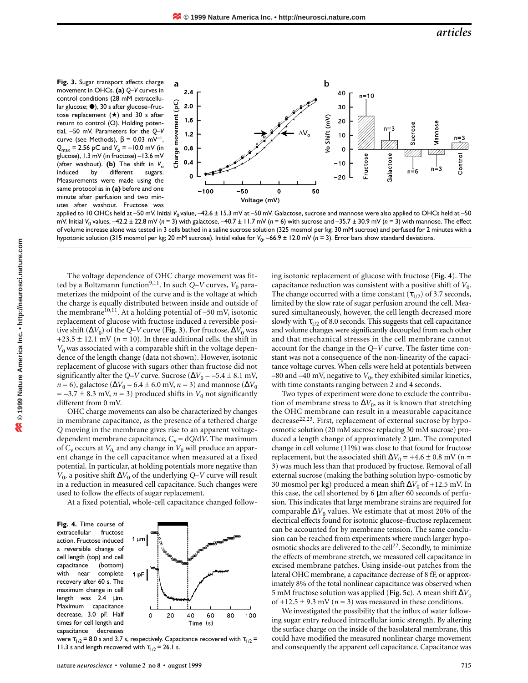**Fig. 3.** Sugar transport affects charge movement in OHCs. **(a)** *Q*–*V* curves in control conditions (28 mM extracellular glucose;  $\bullet$ ), 30 s after glucose–fructose replacement  $(\bigstar)$  and 30 s after return to control (O). Holding potential, –50 mV. Parameters for the *Q*–*V* curve (see Methods),  $\beta = 0.03$  mV<sup>-1</sup>,  $Q_{\text{max}}$  = 2.56 pC and  $V_0$  = –10.0 mV (in glucose), 1.3 mV (in fructose) –13.6 mV (after washout). (b) The shift in  $V_o$ induced by different sugars. Measurements were made using the same protocol as in **(a)** before and one minute after perfusion and two minutes after washout. Fructose was



applied to 10 OHCs held at –50 mV. Initial V<sub>0</sub> value, –42.6 ± 15.3 mV at –50 mV. Galactose, sucrose and mannose were also applied to OHCs held at –50 mV. Initial *V*<sup>0</sup> values, –42.2 ± 22.8 mV (*n* = 3) with galactose, –40.7 ± 11.7 mV (*n* = 6) with sucrose and –35.7 ± 30.9 mV (*n* = 3) with mannose. The effect of volume increase alone was tested in 3 cells bathed in a saline sucrose solution (325 mosmol per kg; 30 mM sucrose) and perfused for 2 minutes with a hypotonic solution (315 mosmol per kg; 20 mM sucrose). Initial value for  $V_0$ , -66.9 ± 12.0 mV (*n* = 3). Error bars show standard deviations.

The voltage dependence of OHC charge movement was fitted by a Boltzmann function<sup>9,11</sup>. In such  $Q-V$  curves,  $V_0$  parameterizes the midpoint of the curve and is the voltage at which the charge is equally distributed between inside and outside of the membrane<sup>10,11</sup>. At a holding potential of  $-50$  mV, isotonic replacement of glucose with fructose induced a reversible positive shift ( $\Delta V_0$ ) of the *Q*–*V* curve (Fig. 3). For fructose,  $\Delta V_0$  was +23.5  $\pm$  12.1 mV ( $n = 10$ ). In three additional cells, the shift in  $V_0$  was associated with a comparable shift in the voltage dependence of the length change (data not shown). However, isotonic replacement of glucose with sugars other than fructose did not significantly alter the *Q*–*V* curve. Sucrose ( $\Delta V_0 = -5.4 \pm 8.1$  mV, *n* = 6), galactose ( $\Delta V_0$  = 6.4 ± 6.0 mV, *n* = 3) and mannose ( $\Delta V_0$  $= -3.7 \pm 8.3$  mV,  $n = 3$ ) produced shifts in  $V_0$  not significantly different from 0 mV.

OHC charge movements can also be characterized by changes in membrane capacitance, as the presence of a tethered charge *Q* moving in the membrane gives rise to an apparent voltagedependent membrane capacitance,  $C_v = dQ/dV$ . The maximum of  $C_v$  occurs at  $V_0$ , and any change in  $V_0$  will produce an apparent change in the cell capacitance when measured at a fixed potential. In particular, at holding potentials more negative than *V*<sub>0</sub>, a positive shift  $\Delta V_0$  of the underlying *Q*–*V* curve will result in a reduction in measured cell capacitance. Such changes were used to follow the effects of sugar replacement.

At a fixed potential, whole-cell capacitance changed follow-

**Fig. 4.** Time course of extracellular fructose action. Fructose induced a reversible change of cell length (top) and cell capacitance (bottom) with near complete recovery after 60 s. The maximum change in cell length was 2.4 µm. Maximum capacitance decrease, 3.0 pF. Half times for cell length and capacitance decreases



were  $\tau_{1/2}$  = 8.0 s and 3.7 s, respectively. Capacitance recovered with  $\tau_{1/2}$  = 11.3 s and length recovered with  $\tau_{1/2}$  = 26.1 s.

stant was not a consequence of the non-linearity of the capacitance voltage curves. When cells were held at potentials between –80 and –40 mV, negative to  $V_0$ , they exhibited similar kinetics, with time constants ranging between 2 and 4 seconds. Two types of experiment were done to exclude the contribution of membrane stress to  $\Delta V_0$ , as it is known that stretching the OHC membrane can result in a measurable capacitance decrease<sup>22,23</sup>. First, replacement of external sucrose by hypoosmotic solution (20 mM sucrose replacing 30 mM sucrose) produced a length change of approximately 2 µm. The computed change in cell volume (11%) was close to that found for fructose replacement, but the associated shift  $\Delta V_0$  = +4.6 ± 0.8 mV (*n* =

3) was much less than that produced by fructose. Removal of all external sucrose (making the bathing solution hypo-osmotic by 30 mosmol per kg) produced a mean shift Δ*V*<sub>0</sub> of +12.5 mV. In this case, the cell shortened by 6 µm after 60 seconds of perfusion. This indicates that large membrane strains are required for comparable  $\Delta V_0$  values. We estimate that at most 20% of the electrical effects found for isotonic glucose–fructose replacement can be accounted for by membrane tension. The same conclusion can be reached from experiments where much larger hypoosmotic shocks are delivered to the cell<sup>22</sup>. Secondly, to minimize the effects of membrane stretch, we measured cell capacitance in excised membrane patches. Using inside-out patches from the lateral OHC membrane, a capacitance decrease of 8 fF, or approximately 8% of the total nonlinear capacitance was observed when 5 mM fructose solution was applied (**Fig. 5c**). A mean shift ∆*V*<sup>0</sup> of  $+12.5 \pm 9.3$  mV ( $n = 3$ ) was measured in these conditions.

ing isotonic replacement of glucose with fructose (**Fig. 4**). The capacitance reduction was consistent with a positive shift of  $V_0$ . The change occurred with a time constant ( $\tau_{1/2}$ ) of 3.7 seconds, limited by the slow rate of sugar perfusion around the cell. Measured simultaneously, however, the cell length decreased more slowly with  $\tau_{1/2}$  of 8.0 seconds. This suggests that cell capacitance and volume changes were significantly decoupled from each other and that mechanical stresses in the cell membrane cannot account for the change in the *Q*–*V* curve. The faster time con-

We investigated the possibility that the influx of water following sugar entry reduced intracellular ionic strength. By altering the surface charge on the inside of the basolateral membrane, this could have modified the measured nonlinear charge movement and consequently the apparent cell capacitance. Capacitance was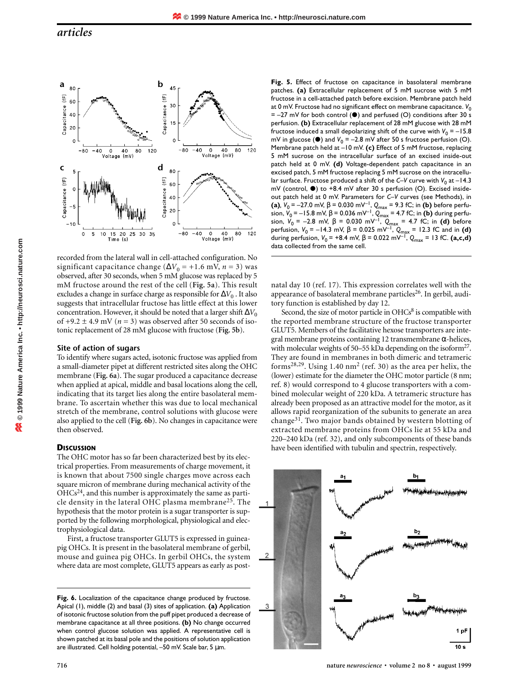

recorded from the lateral wall in cell-attached configuration. No significant capacitance change ( $\Delta V_0$  = +1.6 mV, *n* = 3) was observed, after 30 seconds, when 5 mM glucose was replaced by 5 mM fructose around the rest of the cell (**Fig. 5a**). This result excludes a change in surface charge as responsible for  $\Delta V_0$ . It also suggests that intracellular fructose has little effect at this lower concentration. However, it should be noted that a larger shift  $\Delta V_0$ of  $+9.2 \pm 4.9$  mV ( $n = 3$ ) was observed after 50 seconds of isotonic replacement of 28 mM glucose with fructose (**Fig. 5b**).

## **Site of action of sugars**

To identify where sugars acted, isotonic fructose was applied from a small-diameter pipet at different restricted sites along the OHC membrane (**Fig. 6a**). The sugar produced a capacitance decrease when applied at apical, middle and basal locations along the cell, indicating that its target lies along the entire basolateral membrane. To ascertain whether this was due to local mechanical stretch of the membrane, control solutions with glucose were also applied to the cell (**Fig. 6b**). No changes in capacitance were then observed.

## **DISCUSSION**

**© 1999 Nature America Inc. • http://neurosci.nature.com**

20 01999 Nature America Inc. • http://neurosci.nature.com

The OHC motor has so far been characterized best by its electrical properties. From measurements of charge movement, it is known that about 7500 single charges move across each square micron of membrane during mechanical activity of the  $OHCs<sup>24</sup>$ , and this number is approximately the same as particle density in the lateral OHC plasma membrane25. The hypothesis that the motor protein is a sugar transporter is supported by the following morphological, physiological and electrophysiological data.

First, a fructose transporter GLUT5 is expressed in guineapig OHCs. It is present in the basolateral membrane of gerbil, mouse and guinea pig OHCs. In gerbil OHCs, the system where data are most complete, GLUT5 appears as early as post**Fig. 5.** Effect of fructose on capacitance in basolateral membrane patches. **(a)** Extracellular replacement of 5 mM sucrose with 5 mM fructose in a cell-attached patch before excision. Membrane patch held at 0 mV. Fructose had no significant effect on membrane capacitance. V<sub>0</sub> =  $-27$  mV for both control ( $\bullet$ ) and perfused (O) conditions after 30 s perfusion. **(b)** Extracellular replacement of 28 mM glucose with 28 mM fructose induced a small depolarizing shift of the curve with  $V_0 = -15.8$ mV in glucose (●) and V<sub>0</sub> = −2.8 mV after 50 s fructose perfusion (O). Membrane patch held at –10 mV. **(c)** Effect of 5 mM fructose, replacing 5 mM sucrose on the intracellular surface of an excised inside-out patch held at 0 mV. **(d)** Voltage-dependent patch capacitance in an excised patch, 5 mM fructose replacing 5 mM sucrose on the intracellular surface. Fructose produced a shift of the *C*–V curve with  $V_0$  at -14.3 mV (control, ●) to +8.4 mV after 30 s perfusion (O). Excised insideout patch held at 0 mV. Parameters for *C–V* curves (see Methods), in **(a)***,*  $V_0$  = –27.0 mV, β = 0.030 mV<sup>-1</sup>,  $Q_{max}$  = 9.3 fC; in **(b)** before perfusion, *V*0 = –15.8 mV, β = 0.036 mV–1, *Q*max = 4.7 fC; in **(b)** during perfusion, V<sub>0</sub> = −2.8 mV, β = 0.030 mV<sup>−1</sup>, Q<sub>max</sub> = 4.7 fC; in **(d)** before perfusion, *V*0 = –14.3 mV, β = 0.025 mV–1, *Q*max = 12.3 fC and in **(d)** during perfusion,  $V_0$  = +8.4 mV,  $\beta$  = 0.022 mV<sup>-1</sup>,  $Q_{\text{max}}$  = 13 fC. (a,c,d) data collected from the same cell.

natal day 10 (ref. 17). This expression correlates well with the appearance of basolateral membrane particles<sup>26</sup>. In gerbil, auditory function is established by day 12.

Second, the size of motor particle in  $OHCs<sup>8</sup>$  is compatible with the reported membrane structure of the fructose transporter GLUT5. Members of the facilitative hexose transporters are integral membrane proteins containing 12 transmembrane α-helices, with molecular weights of 50–55 kDa depending on the isoform<sup>27</sup>. They are found in membranes in both dimeric and tetrameric forms<sup>28,29</sup>. Using 1.40 nm<sup>2</sup> (ref. 30) as the area per helix, the (lower) estimate for the diameter the OHC motor particle (8 nm; ref. 8) would correspond to 4 glucose transporters with a combined molecular weight of 220 kDa. A tetrameric structure has already been proposed as an attractive model for the motor, as it allows rapid reorganization of the subunits to generate an area change31. Two major bands obtained by western blotting of extracted membrane proteins from OHCs lie at 55 kDa and 220–240 kDa (ref. 32), and only subcomponents of these bands have been identified with tubulin and spectrin, respectively.



Fig. 6. Localization of the capacitance change produced by fructose. Apical (1), middle (2) and basal (3) sites of application. **(a)** Application of isotonic fructose solution from the puff pipet produced a decrease of membrane capacitance at all three positions. **(b)** No change occurred when control glucose solution was applied. A representative cell is shown patched at its basal pole and the positions of solution application are illustrated. Cell holding potential, –50 mV. Scale bar, 5 µm.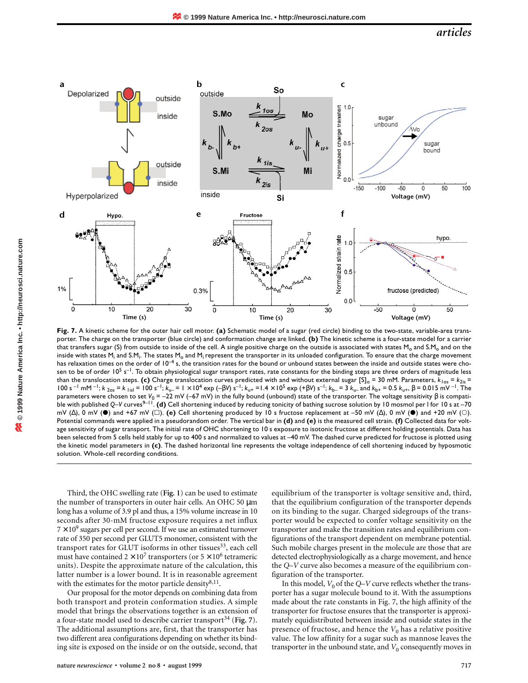# *articles*



**Fig. 7.** A kinetic scheme for the outer hair cell motor. **(a)** Schematic model of a sugar (red circle) binding to the two-state, variable-area transporter. The charge on the transporter (blue circle) and conformation change are linked. **(b)** The kinetic scheme is a four-state model for a carrier that transfers sugar (S) from outside to inside of the cell. A single positive charge on the outside is associated with states M<sub>o</sub> and S.M<sub>o</sub> and on the inside with states M<sub>i</sub> and S.M<sub>i</sub>. The states M<sub>o</sub> and M<sub>i</sub> represent the transporter in its unloaded configuration. To ensure that the charge movement has relaxation times on the order of  $10^{-4}$  s, the transition rates for the bound or unbound states between the inside and outside states were chosen to be of order  $10^5$  s<sup>-1</sup>. To obtain physiological sugar transport rates, rate constants for the binding steps are three orders of magnitude less than the translocation steps. **(c)** Charge translocation curves predicted with and without external sugar  $[S]_o = 30$  mM. Parameters,  $k_{10s} = k_{2is}$ 100 s<sup>-1</sup> mM<sup>-1</sup>; *k*<sub>2os</sub> = *k*<sub>1isI</sub> = 100 s<sup>-1</sup>; *k*<sub>u-</sub> = 1 × 10<sup>4</sup> exp (-β*V*) s<sup>-1</sup>; *k*<sub>u+</sub> = 1.4 × 10<sup>5</sup> exp (+β*V*) s<sup>-1</sup>; *k*<sub>b-</sub> = 3 *k*<sub>u-</sub> and *k*<sub>b+</sub> = 0.5 *k*<sub>u+</sub>, β = 0.015 mV<sup>-1</sup>. The parameters were chosen to set *V*<sup>0</sup> = –22 mV (–67 mV) in the fully bound (unbound) state of the transporter. The voltage sensitivity β is compatible with published Q–V curves<sup>9–11</sup>. **(d)** Cell shortening induced by reducing tonicity of bathing sucrose solution by 10 mosmol per l for 10 s at –70 mV (Δ), 0 mV (●) and +67 mV (□). (e) Cell shortening produced by 10 s fructose replacement at –50 mV (Δ), 0 mV (●) and +20 mV (○). Potential commands were applied in a pseudorandom order. The vertical bar in **(d)** and **(e)** is the measured cell strain. **(f)** Collected data for voltage sensitivity of sugar transport. The initial rate of OHC shortening to 10 s exposure to isotonic fructose at different holding potentials. Data has been selected from 5 cells held stably for up to 400 s and normalized to values at –40 mV. The dashed curve predicted for fructose is plotted using the kinetic model parameters in **(c)**. The dashed horizontal line represents the voltage independence of cell shortening induced by hyposmotic solution. Whole-cell recording conditions.

Third, the OHC swelling rate (**Fig. 1**) can be used to estimate the number of transporters in outer hair cells. An OHC 50 µm long has a volume of 3.9 pl and thus, a 15% volume increase in 10 seconds after 30-mM fructose exposure requires a net influx  $7 \times 10^9$  sugars per cell per second. If we use an estimated turnover rate of 350 per second per GLUT5 monomer, consistent with the transport rates for GLUT isoforms in other tissues $33$ , each cell must have contained  $2 \times 10^7$  transporters (or  $5 \times 10^6$  tetrameric units). Despite the approximate nature of the calculation, this latter number is a lower bound. It is in reasonable agreement with the estimates for the motor particle density $8,11$ .

Our proposal for the motor depends on combining data from both transport and protein conformation studies. A simple model that brings the observations together is an extension of a four-state model used to describe carrier transport<sup>34</sup> (Fig. 7). The additional assumptions are, first, that the transporter has two different area configurations depending on whether its binding site is exposed on the inside or on the outside, second, that equilibrium of the transporter is voltage sensitive and, third, that the equilibrium configuration of the transporter depends on its binding to the sugar. Charged sidegroups of the transporter would be expected to confer voltage sensitivity on the transporter and make the transition rates and equilibrium configurations of the transport dependent on membrane potential. Such mobile charges present in the molecule are those that are detected electrophysiologically as a charge movement, and hence the *Q*–*V* curve also becomes a measure of the equilibrium configuration of the transporter.

In this model,  $V_0$  of the *Q–V* curve reflects whether the transporter has a sugar molecule bound to it. With the assumptions made about the rate constants in Fig. 7, the high affinity of the transporter for fructose ensures that the transporter is approximately equidistributed between inside and outside states in the presence of fructose, and hence the  $V_0$  has a relative positive value. The low affinity for a sugar such as mannose leaves the transporter in the unbound state, and  $V_0$  consequently moves in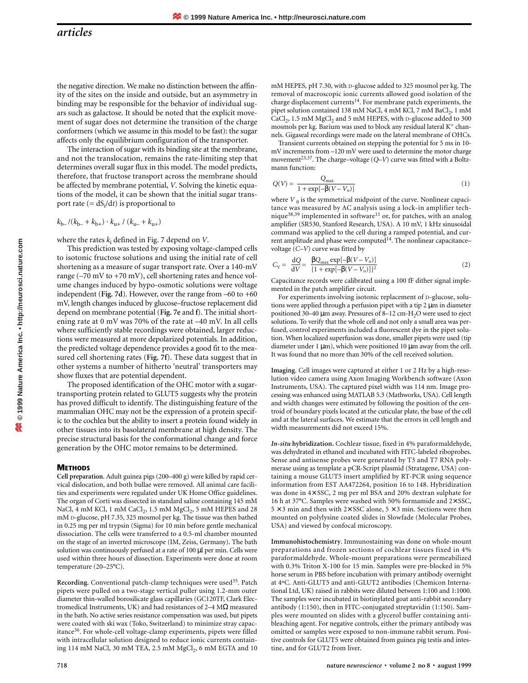the negative direction. We make no distinction between the affinity of the sites on the inside and outside, but an asymmetry in binding may be responsible for the behavior of individual sugars such as galactose. It should be noted that the explicit movement of sugar does not determine the transition of the charge conformers (which we assume in this model to be fast): the sugar affects only the equilibrium configuration of the transporter.

The interaction of sugar with its binding site at the membrane, and not the translocation, remains the rate-limiting step that determines overall sugar flux in this model. The model predicts, therefore, that fructose transport across the membrane should be affected by membrane potential, *V*. Solving the kinetic equations of the model, it can be shown that the initial sugar transport rate (= dSi /d*t*) is proportional to

$$
k_{\rm b-}/(k_{\rm b-}+k_{\rm b+})\cdot k_{\rm u+}^{\phantom i}/\,(k_{\rm u-}+k_{\rm u+})
$$

where the rates  $k_i$  defined in Fig. 7 depend on *V*.

This prediction was tested by exposing voltage-clamped cells to isotonic fructose solutions and using the initial rate of cell shortening as a measure of sugar transport rate. Over a 140-mV range (–70 mV to +70 mV), cell shortening rates and hence volume changes induced by hypo-osmotic solutions were voltage independent (**Fig. 7d**). However, over the range from –60 to +60 mV, length changes induced by glucose–fructose replacement did depend on membrane potential (**Fig. 7e** and **f**). The initial shortening rate at 0 mV was 70% of the rate at –40 mV. In all cells where sufficiently stable recordings were obtained, larger reductions were measured at more depolarized potentials. In addition, the predicted voltage dependence provides a good fit to the measured cell shortening rates (**Fig. 7f**). These data suggest that in other systems a number of hitherto 'neutral' transporters may show fluxes that are potential dependent.

The proposed identification of the OHC motor with a sugartransporting protein related to GLUT5 suggests why the protein has proved difficult to identify. The distinguishing feature of the mammalian OHC may not be the expression of a protein specific to the cochlea but the ability to insert a protein found widely in other tissues into its basolateral membrane at high density. The precise structural basis for the conformational change and force generation by the OHC motor remains to be determined.

## **METHODS**

**Cell preparation**. Adult guinea pigs (200–400 g) were killed by rapid cervical dislocation, and both bullae were removed. All animal care facilities and experiments were regulated under UK Home Office guidelines. The organ of Corti was dissected in standard saline containing 145 mM NaCl, 4 mM KCl, 1 mM  $CaCl<sub>2</sub>$ , 1.5 mM  $MgCl<sub>2</sub>$ , 5 mM HEPES and 28 mM D-glucose, pH 7.35, 325 mosmol per kg. The tissue was then bathed in 0.25 mg per ml trypsin (Sigma) for 10 min before gentle mechanical dissociation. The cells were transferred to a 0.5-ml chamber mounted on the stage of an inverted microscope (IM, Zeiss, Germany). The bath solution was continuously perfused at a rate of 100 µl per min. Cells were used within three hours of dissection. Experiments were done at room temperature (20–25°C).

Recording. Conventional patch-clamp techniques were used<sup>35</sup>. Patch pipets were pulled on a two-stage vertical puller using 1.2-mm outer diameter thin-walled borosilicate glass capillaries (GC120TF, Clark Electromedical Instruments, UK) and had resistances of 2–4 MΩ measured in the bath. No active series resistance compensation was used, but pipets were coated with ski wax (Toko, Switzerland) to minimize stray capacitance<sup>36</sup>. For whole-cell voltage-clamp experiments, pipets were filled with intracellular solution designed to reduce ionic currents containing 114 mM NaCl, 30 mM TEA, 2.5 mM  $MgCl<sub>2</sub>$ , 6 mM EGTA and 10 mM HEPES, pH 7.30, with D-glucose added to 325 mosmol per kg. The removal of macroscopic ionic currents allowed good isolation of the charge displacement currents<sup>14</sup>. For membrane patch experiments, the pipet solution contained 138 mM NaCl, 4 mM KCl, 7 mM BaCl<sub>2</sub>, 1 mM  $CaCl<sub>2</sub>$ , 1.5 mM  $MgCl<sub>2</sub>$  and 5 mM HEPES, with D-glucose added to 300 mosmols per kg. Barium was used to block any residual lateral  $K^+$  channels. Gigaseal recordings were made on the lateral membrane of OHCs.

Transient currents obtained on stepping the potential for 5 ms in 10 mV increments from –120 mV were used to determine the motor charge movement<sup>23,37</sup>. The charge–voltage (Q–V) curve was fitted with a Boltzmann function:

$$
Q(V) = \frac{Q_{\text{max}}}{1 + \exp[-\beta(V - V_o)]}
$$
 (1)

where  $V_0$  is the symmetrical midpoint of the curve. Nonlinear capacitance was measured by AC analysis using a lock-in amplifier technique<sup>38,39</sup> implemented in software<sup>11</sup> or, for patches, with an analog amplifier (SR530, Stanford Research, USA). A 10 mV, 1 kHz sinusoidal command was applied to the cell during a ramped potential, and current amplitude and phase were computed<sup>14</sup>. The nonlinear capacitancevoltage (*C–V*) curve was fitted by

$$
C_{\rm V} = \frac{\rm dQ}{\rm dV} = \frac{\beta Q_{\rm max} \exp[-\beta(V - V_{\rm o})]}{\{1 + \exp[-\beta(V - V_{\rm o})]\}^2}
$$
(2)

Capacitance records were calibrated using a 100 fF dither signal implemented in the patch amplifier circuit.

For experiments involving isotonic replacement of D-glucose, solutions were applied through a perfusion pipet with a tip 2 µm in diameter positioned 30–40  $\mu$ m away. Pressures of 8–12 cm-H<sub>2</sub>O were used to eject solutions. To verify that the whole cell and not only a small area was perfused, control experiments included a fluorescent dye in the pipet solution. When localized superfusion was done, smaller pipets were used (tip diameter under 1  $\mu$ m), which were positioned 10  $\mu$ m away from the cell. It was found that no more than 30% of the cell received solution.

**Imaging**. Cell images were captured at either 1 or 2 Hz by a high-resolution video camera using Axon Imaging Workbench software (Axon Instruments, USA). The captured pixel width was 114 nm. Image processing was enhanced using MATLAB 5.3 (Mathworks, USA). Cell length and width changes were estimated by following the position of the centroid of boundary pixels located at the cuticular plate, the base of the cell and at the lateral surfaces. We estimate that the errors in cell length and width measurements did not exceed 15%.

*In-situ* **hybridization.** Cochlear tissue, fixed in 4% paraformaldehyde, was dehydrated in ethanol and incubated with FITC-labeled riboprobes. Sense and antisense probes were generated by T3 and T7 RNA polymerase using as template a pCR-Script plasmid (Stratagene, USA) containing a mouse GLUT5 insert amplified by RT-PCR using sequence information from EST AA472264, position 16 to 148. Hybridization was done in 4× SSC, 2 mg per ml BSA and 20% dextran sulphate for 16 h at 37°C. Samples were washed with 50% formamide and 2× SSC,  $5 \times 3$  min and then with  $2 \times$  SSC alone,  $5 \times 3$  min. Sections were then mounted on polylysine coated slides in Slowfade (Molecular Probes, USA) and viewed by confocal microscopy.

**Immunohistochemistry**. Immunostaining was done on whole-mount preparations and frozen sections of cochlear tissues fixed in 4% paraformaldehyde. Whole-mount preparations were permeabilized with 0.3% Triton X-100 for 15 min. Samples were pre-blocked in 5% horse serum in PBS before incubation with primary antibody overnight at 4ºC. Anti-GLUT5 and anti-GLUT2 antibodies (Chemicon International Ltd, UK) raised in rabbits were diluted between 1:100 and 1:1000. The samples were incubated in biotinylated goat anti-rabbit secondary antibody (1:150), then in FITC-conjugated streptavidin (1:150). Samples were mounted on slides with a glycerol buffer containing antibleaching agent. For negative controls, either the primary antibody was omitted or samples were exposed to non-immune rabbit serum. Positive controls for GLUT5 were obtained from guinea pig testis and intestine, and for GLUT2 from liver.